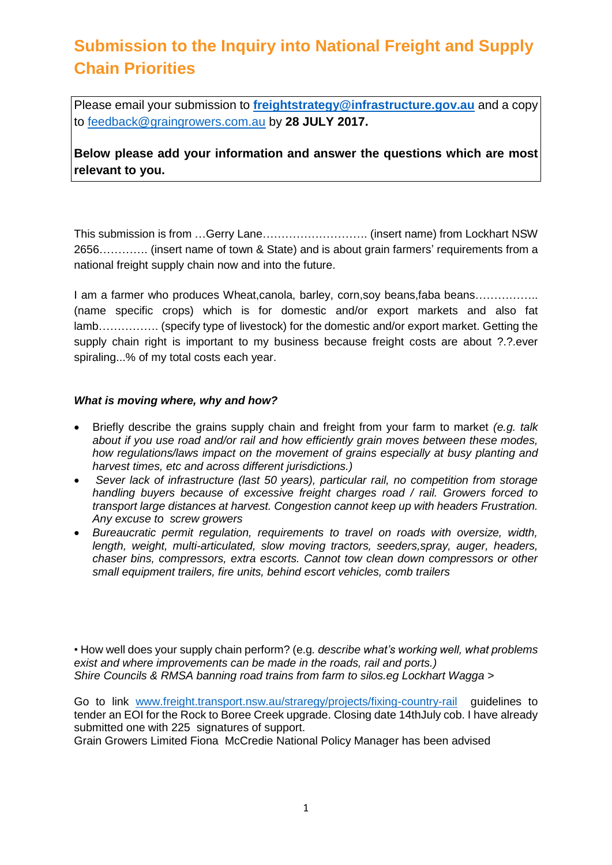# **Submission to the Inquiry into National Freight and Supply Chain Priorities**

Please email your submission to **[freightstrategy@infrastructure.gov.au](mailto:freightstrategy@infrastructure.gov.au)** and a copy to [feedback@graingrowers.com.au](mailto:feedback@graingrowers.com.au) by **28 JULY 2017.**

**Below please add your information and answer the questions which are most relevant to you.**

This submission is from …Gerry Lane………………………. (insert name) from Lockhart NSW 2656…………. (insert name of town & State) and is about grain farmers' requirements from a national freight supply chain now and into the future.

I am a farmer who produces Wheat, canola, barley, corn, soy beans, faba beans................................. (name specific crops) which is for domestic and/or export markets and also fat lamb……………. (specify type of livestock) for the domestic and/or export market. Getting the supply chain right is important to my business because freight costs are about ?.?.ever spiraling...% of my total costs each year.

#### *What is moving where, why and how?*

- Briefly describe the grains supply chain and freight from your farm to market *(e.g. talk about if you use road and/or rail and how efficiently grain moves between these modes, how regulations/laws impact on the movement of grains especially at busy planting and harvest times, etc and across different jurisdictions.)*
- *Sever lack of infrastructure (last 50 years), particular rail, no competition from storage handling buyers because of excessive freight charges road / rail. Growers forced to transport large distances at harvest. Congestion cannot keep up with headers Frustration. Any excuse to screw growers*
- *Bureaucratic permit regulation, requirements to travel on roads with oversize, width, length, weight, multi-articulated, slow moving tractors, seeders,spray, auger, headers, chaser bins, compressors, extra escorts. Cannot tow clean down compressors or other small equipment trailers, fire units, behind escort vehicles, comb trailers*

• How well does your supply chain perform? (e.g*. describe what's working well, what problems exist and where improvements can be made in the roads, rail and ports.) Shire Councils & RMSA banning road trains from farm to silos.eg Lockhart Wagga* >

Go to link [www.freight.transport.nsw.au/straregy/projects/fixing-country-rail](http://www.freight.transport.nsw.au/straregy/projects/fixing-country-rail) guidelines to tender an EOI for the Rock to Boree Creek upgrade. Closing date 14thJuly cob. I have already submitted one with 225 signatures of support.

Grain Growers Limited Fiona McCredie National Policy Manager has been advised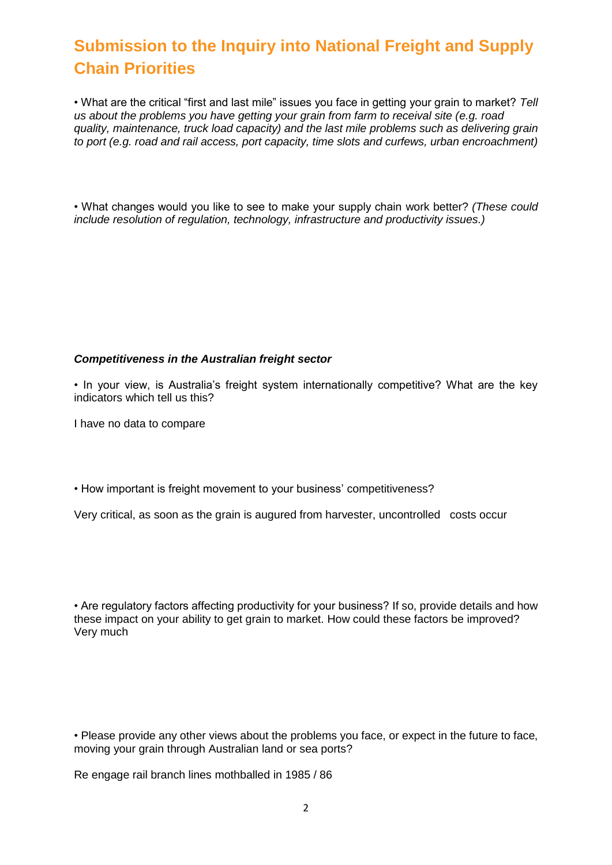## **Submission to the Inquiry into National Freight and Supply Chain Priorities**

• What are the critical "first and last mile" issues you face in getting your grain to market? *Tell us about the problems you have getting your grain from farm to receival site (e.g. road quality, maintenance, truck load capacity) and the last mile problems such as delivering grain to port (e.g. road and rail access, port capacity, time slots and curfews, urban encroachment)*

• What changes would you like to see to make your supply chain work better? *(These could include resolution of regulation, technology, infrastructure and productivity issues.)*

#### *Competitiveness in the Australian freight sector*

• In your view, is Australia's freight system internationally competitive? What are the key indicators which tell us this?

I have no data to compare

• How important is freight movement to your business' competitiveness?

Very critical, as soon as the grain is augured from harvester, uncontrolled costs occur

• Are regulatory factors affecting productivity for your business? If so, provide details and how these impact on your ability to get grain to market. How could these factors be improved? Very much

• Please provide any other views about the problems you face, or expect in the future to face, moving your grain through Australian land or sea ports?

Re engage rail branch lines mothballed in 1985 / 86